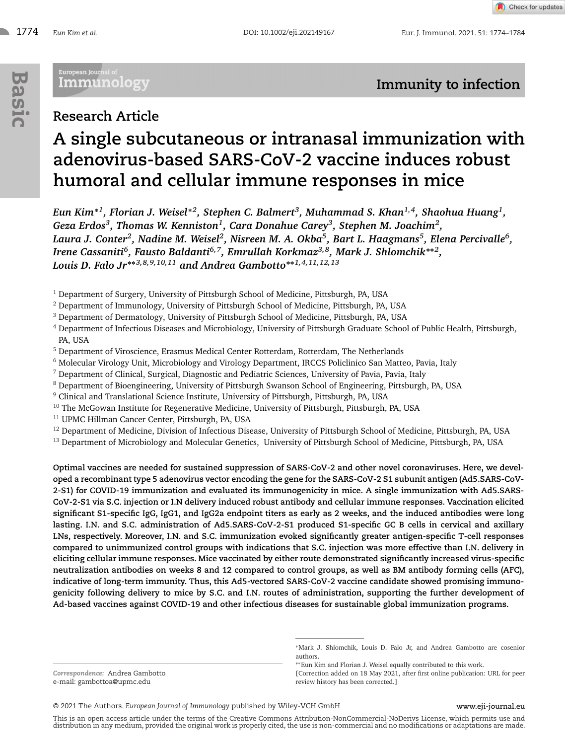<sup>1774</sup> *Eun Kim et al.* DOI: 10.1002/eji.202149167 Eur. J. Immunol. 2021. 51: 1774–1784

Check for updates

# European Journal of<br>— Immunology

# **Immunity to infection**

# **Research Article**

# **A single subcutaneous or intranasal immunization with adenovirus-based SARS-CoV-2 vaccine induces robust humoral and cellular immune responses in mice**

*Eun Kim***∗***1, Florian J. Weisel***∗***2, Stephen C. Balmert3, Muhammad S. Khan1,4, Shaohua Huang1, Geza Erdos3, Thomas W. Kenniston1, Cara Donahue Carey3, Stephen M. Joachim2,* Laura J. Conter<sup>2</sup>, Nadine M. Weisel<sup>2</sup>, Nisreen M. A. Okba<sup>5</sup>, Bart L. Haagmans<sup>5</sup>, Elena Percivalle<sup>6</sup>, *Irene Cassaniti6, Fausto Baldanti6,7, Emrullah Korkmaz3,8, Mark J. Shlomchik***∗∗***2, Louis D. Falo Jr***∗∗***3,8,9,10,11 and Andrea Gambotto***∗∗***1,4,11,12,13*

<sup>1</sup> Department of Surgery, University of Pittsburgh School of Medicine, Pittsburgh, PA, USA

- <sup>2</sup> Department of Immunology, University of Pittsburgh School of Medicine, Pittsburgh, PA, USA
- <sup>3</sup> Department of Dermatology, University of Pittsburgh School of Medicine, Pittsburgh, PA, USA
- <sup>4</sup> Department of Infectious Diseases and Microbiology, University of Pittsburgh Graduate School of Public Health, Pittsburgh, PA, USA
- <sup>5</sup> Department of Viroscience, Erasmus Medical Center Rotterdam, Rotterdam, The Netherlands
- <sup>6</sup> Molecular Virology Unit, Microbiology and Virology Department, IRCCS Policlinico San Matteo, Pavia, Italy
- $^7$  Department of Clinical, Surgical, Diagnostic and Pediatric Sciences, University of Pavia, Pavia, Italy
- <sup>8</sup> Department of Bioengineering, University of Pittsburgh Swanson School of Engineering, Pittsburgh, PA, USA
- <sup>9</sup> Clinical and Translational Science Institute, University of Pittsburgh, Pittsburgh, PA, USA
- <sup>10</sup> The McGowan Institute for Regenerative Medicine, University of Pittsburgh, Pittsburgh, PA, USA
- <sup>11</sup> UPMC Hillman Cancer Center, Pittsburgh, PA, USA
- <sup>12</sup> Department of Medicine, Division of Infectious Disease, University of Pittsburgh School of Medicine, Pittsburgh, PA, USA
- <sup>13</sup> Department of Microbiology and Molecular Genetics, University of Pittsburgh School of Medicine, Pittsburgh, PA, USA

**Optimal vaccines are needed for sustained suppression of SARS-CoV-2 and other novel coronaviruses. Here, we developed a recombinant type 5 adenovirus vector encoding the gene for the SARS-CoV-2 S1 subunit antigen (Ad5.SARS-CoV-2-S1) for COVID-19 immunization and evaluated its immunogenicity in mice. A single immunization with Ad5.SARS-CoV-2-S1 via S.C. injection or I.N delivery induced robust antibody and cellular immune responses. Vaccination elicited significant S1-specific IgG, IgG1, and IgG2a endpoint titers as early as 2 weeks, and the induced antibodies were long lasting. I.N. and S.C. administration of Ad5.SARS-CoV-2-S1 produced S1-specific GC B cells in cervical and axillary LNs, respectively. Moreover, I.N. and S.C. immunization evoked significantly greater antigen-specific T-cell responses compared to unimmunized control groups with indications that S.C. injection was more effective than I.N. delivery in eliciting cellular immune responses. Mice vaccinated by either route demonstrated significantly increased virus-specific neutralization antibodies on weeks 8 and 12 compared to control groups, as well as BM antibody forming cells (AFC), indicative of long-term immunity. Thus, this Ad5-vectored SARS-CoV-2 vaccine candidate showed promising immunogenicity following delivery to mice by S.C. and I.N. routes of administration, supporting the further development of Ad-based vaccines against COVID-19 and other infectious diseases for sustainable global immunization programs.**

This is an open access article under the terms of the [Creative Commons Attribution-NonCommercial-NoDerivs](http://creativecommons.org/licenses/by-nc-nd/4.0/) License, which permits use and distribution in any medium, provided the original work is properly cited, the use is non-commercial and no modifications or adaptations are made.

*Correspondence:* Andrea Gambotto e-mail: gambottoa@upmc.edu

<sup>∗</sup>Mark J. Shlomchik, Louis D. Falo Jr, and Andrea Gambotto are cosenior authors.

<sup>∗∗</sup>Eun Kim and Florian J. Weisel equally contributed to this work.

<sup>[</sup>Correction added on 18 May 2021, after first online publication: URL for peer review history has been corrected.]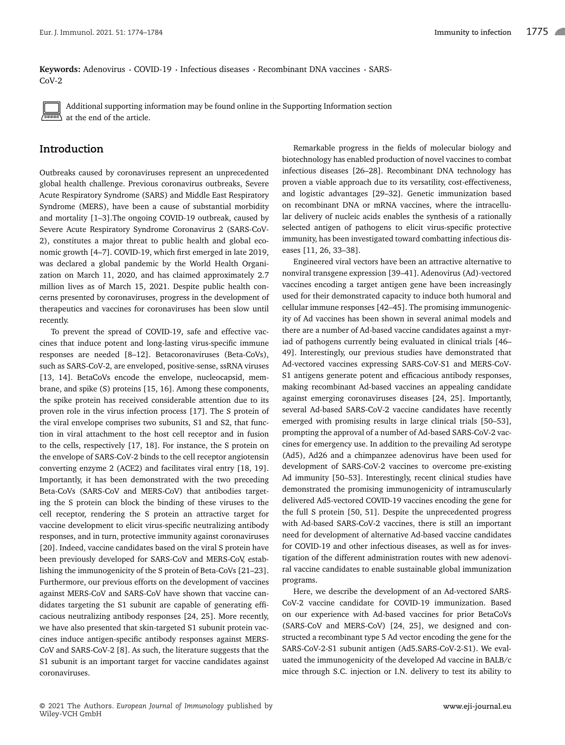Keywords: Adenovirus · COVID-19 · Infectious diseases · Recombinant DNA vaccines · SARS-CoV-2



Additional supporting information may be found online in the Supporting Information section at the end of the article.

# **Introduction**

Outbreaks caused by coronaviruses represent an unprecedented global health challenge. Previous coronavirus outbreaks, Severe Acute Respiratory Syndrome (SARS) and Middle East Respiratory Syndrome (MERS), have been a cause of substantial morbidity and mortality [1–3].The ongoing COVID-19 outbreak, caused by Severe Acute Respiratory Syndrome Coronavirus 2 (SARS-CoV-2), constitutes a major threat to public health and global economic growth [4–7]. COVID-19, which first emerged in late 2019, was declared a global pandemic by the World Health Organization on March 11, 2020, and has claimed approximately 2.7 million lives as of March 15, 2021. Despite public health concerns presented by coronaviruses, progress in the development of therapeutics and vaccines for coronaviruses has been slow until recently.

To prevent the spread of COVID-19, safe and effective vaccines that induce potent and long-lasting virus-specific immune responses are needed [8–12]. Betacoronaviruses (Beta-CoVs), such as SARS-CoV-2, are enveloped, positive-sense, ssRNA viruses [13, 14]. BetaCoVs encode the envelope, nucleocapsid, membrane, and spike (S) proteins [15, 16]. Among these components, the spike protein has received considerable attention due to its proven role in the virus infection process [17]. The S protein of the viral envelope comprises two subunits, S1 and S2, that function in viral attachment to the host cell receptor and in fusion to the cells, respectively [17, 18]. For instance, the S protein on the envelope of SARS-CoV-2 binds to the cell receptor angiotensin converting enzyme 2 (ACE2) and facilitates viral entry [18, 19]. Importantly, it has been demonstrated with the two preceding Beta-CoVs (SARS-CoV and MERS-CoV) that antibodies targeting the S protein can block the binding of these viruses to the cell receptor, rendering the S protein an attractive target for vaccine development to elicit virus-specific neutralizing antibody responses, and in turn, protective immunity against coronaviruses [20]. Indeed, vaccine candidates based on the viral S protein have been previously developed for SARS-CoV and MERS-CoV, establishing the immunogenicity of the S protein of Beta-CoVs [21–23]. Furthermore, our previous efforts on the development of vaccines against MERS-CoV and SARS-CoV have shown that vaccine candidates targeting the S1 subunit are capable of generating efficacious neutralizing antibody responses [24, 25]. More recently, we have also presented that skin-targeted S1 subunit protein vaccines induce antigen-specific antibody responses against MERS-CoV and SARS-CoV-2 [8]. As such, the literature suggests that the S1 subunit is an important target for vaccine candidates against coronaviruses.

Remarkable progress in the fields of molecular biology and biotechnology has enabled production of novel vaccines to combat infectious diseases [26–28]. Recombinant DNA technology has proven a viable approach due to its versatility, cost-effectiveness, and logistic advantages [29–32]. Genetic immunization based on recombinant DNA or mRNA vaccines, where the intracellular delivery of nucleic acids enables the synthesis of a rationally selected antigen of pathogens to elicit virus-specific protective immunity, has been investigated toward combatting infectious diseases [11, 26, 33–38].

Engineered viral vectors have been an attractive alternative to nonviral transgene expression [39–41]. Adenovirus (Ad)-vectored vaccines encoding a target antigen gene have been increasingly used for their demonstrated capacity to induce both humoral and cellular immune responses [42–45]. The promising immunogenicity of Ad vaccines has been shown in several animal models and there are a number of Ad-based vaccine candidates against a myriad of pathogens currently being evaluated in clinical trials [46– 49]. Interestingly, our previous studies have demonstrated that Ad-vectored vaccines expressing SARS-CoV-S1 and MERS-CoV-S1 antigens generate potent and efficacious antibody responses, making recombinant Ad-based vaccines an appealing candidate against emerging coronaviruses diseases [24, 25]. Importantly, several Ad-based SARS-CoV-2 vaccine candidates have recently emerged with promising results in large clinical trials [50–53], prompting the approval of a number of Ad-based SARS-CoV-2 vaccines for emergency use. In addition to the prevailing Ad serotype (Ad5), Ad26 and a chimpanzee adenovirus have been used for development of SARS-CoV-2 vaccines to overcome pre-existing Ad immunity [50–53]. Interestingly, recent clinical studies have demonstrated the promising immunogenicity of intramuscularly delivered Ad5-vectored COVID-19 vaccines encoding the gene for the full S protein [50, 51]. Despite the unprecedented progress with Ad-based SARS-CoV-2 vaccines, there is still an important need for development of alternative Ad-based vaccine candidates for COVID-19 and other infectious diseases, as well as for investigation of the different administration routes with new adenoviral vaccine candidates to enable sustainable global immunization programs.

Here, we describe the development of an Ad-vectored SARS-CoV-2 vaccine candidate for COVID-19 immunization. Based on our experience with Ad-based vaccines for prior BetaCoVs (SARS-CoV and MERS-CoV) [24, 25], we designed and constructed a recombinant type 5 Ad vector encoding the gene for the SARS-CoV-2-S1 subunit antigen (Ad5.SARS-CoV-2-S1). We evaluated the immunogenicity of the developed Ad vaccine in BALB/c mice through S.C. injection or I.N. delivery to test its ability to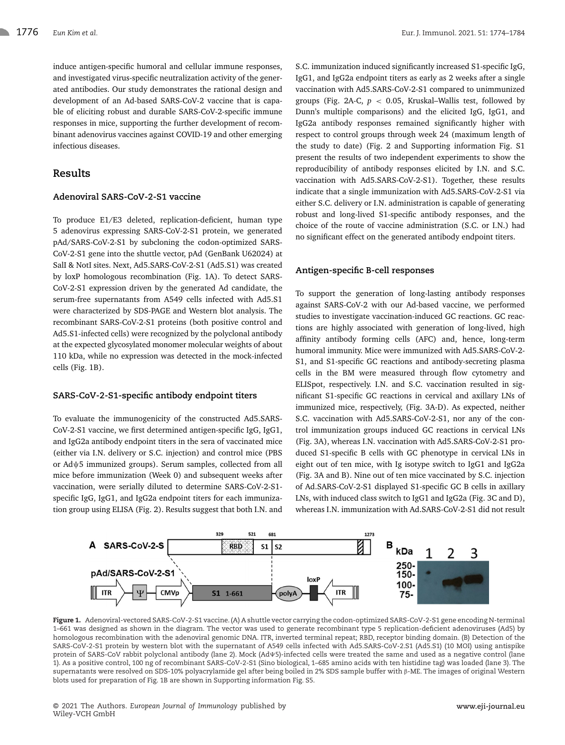induce antigen-specific humoral and cellular immune responses, and investigated virus-specific neutralization activity of the generated antibodies. Our study demonstrates the rational design and development of an Ad-based SARS-CoV-2 vaccine that is capable of eliciting robust and durable SARS-CoV-2-specific immune responses in mice, supporting the further development of recombinant adenovirus vaccines against COVID-19 and other emerging infectious diseases.

# **Results**

# **Adenoviral SARS-CoV-2-S1 vaccine**

To produce E1/E3 deleted, replication-deficient, human type 5 adenovirus expressing SARS-CoV-2-S1 protein, we generated pAd/SARS-CoV-2-S1 by subcloning the codon-optimized SARS-CoV-2-S1 gene into the shuttle vector, pAd (GenBank U62024) at SalI & NotI sites. Next, Ad5.SARS-CoV-2-S1 (Ad5.S1) was created by loxP homologous recombination (Fig. 1A). To detect SARS-CoV-2-S1 expression driven by the generated Ad candidate, the serum-free supernatants from A549 cells infected with Ad5.S1 were characterized by SDS-PAGE and Western blot analysis. The recombinant SARS-CoV-2-S1 proteins (both positive control and Ad5.S1-infected cells) were recognized by the polyclonal antibody at the expected glycosylated monomer molecular weights of about 110 kDa, while no expression was detected in the mock-infected cells (Fig. 1B).

#### **SARS-CoV-2-S1-specific antibody endpoint titers**

To evaluate the immunogenicity of the constructed Ad5.SARS-CoV-2-S1 vaccine, we first determined antigen-specific IgG, IgG1, and IgG2a antibody endpoint titers in the sera of vaccinated mice (either via I.N. delivery or S.C. injection) and control mice (PBS or Adψ5 immunized groups). Serum samples, collected from all mice before immunization (Week 0) and subsequent weeks after vaccination, were serially diluted to determine SARS-CoV-2-S1 specific IgG, IgG1, and IgG2a endpoint titers for each immunization group using ELISA (Fig. 2). Results suggest that both I.N. and S.C. immunization induced significantly increased S1-specific IgG, IgG1, and IgG2a endpoint titers as early as 2 weeks after a single vaccination with Ad5.SARS-CoV-2-S1 compared to unimmunized groups (Fig. 2A-C, *p* < 0.05, Kruskal–Wallis test, followed by Dunn's multiple comparisons) and the elicited IgG, IgG1, and IgG2a antibody responses remained significantly higher with respect to control groups through week 24 (maximum length of the study to date) (Fig. 2 and Supporting information Fig. S1 present the results of two independent experiments to show the reproducibility of antibody responses elicited by I.N. and S.C. vaccination with Ad5.SARS-CoV-2-S1). Together, these results indicate that a single immunization with Ad5.SARS-CoV-2-S1 via either S.C. delivery or I.N. administration is capable of generating robust and long-lived S1-specific antibody responses, and the choice of the route of vaccine administration (S.C. or I.N.) had no significant effect on the generated antibody endpoint titers.

# **Antigen-specific B-cell responses**

To support the generation of long-lasting antibody responses against SARS-CoV-2 with our Ad-based vaccine, we performed studies to investigate vaccination-induced GC reactions. GC reactions are highly associated with generation of long-lived, high affinity antibody forming cells (AFC) and, hence, long-term humoral immunity. Mice were immunized with Ad5.SARS-CoV-2- S1, and S1-specific GC reactions and antibody-secreting plasma cells in the BM were measured through flow cytometry and ELISpot, respectively. I.N. and S.C. vaccination resulted in significant S1-specific GC reactions in cervical and axillary LNs of immunized mice, respectively, (Fig. 3A-D). As expected, neither S.C. vaccination with Ad5.SARS-CoV-2-S1, nor any of the control immunization groups induced GC reactions in cervical LNs (Fig. 3A), whereas I.N. vaccination with Ad5.SARS-CoV-2-S1 produced S1-specific B cells with GC phenotype in cervical LNs in eight out of ten mice, with Ig isotype switch to IgG1 and IgG2a (Fig. 3A and B). Nine out of ten mice vaccinated by S.C. injection of Ad.SARS-CoV-2-S1 displayed S1-specific GC B cells in axillary LNs, with induced class switch to IgG1 and IgG2a (Fig. 3C and D), whereas I.N. immunization with Ad.SARS-CoV-2-S1 did not result



**Figure 1.** Adenoviral-vectored SARS-CoV-2-S1 vaccine. (A) A shuttle vector carrying the codon-optimized SARS-CoV-2-S1 gene encoding N-terminal 1–661 was designed as shown in the diagram. The vector was used to generate recombinant type 5 replication-deficient adenoviruses (Ad5) by homologous recombination with the adenoviral genomic DNA. ITR, inverted terminal repeat; RBD, receptor binding domain. (B) Detection of the SARS-CoV-2-S1 protein by western blot with the supernatant of A549 cells infected with Ad5.SARS-CoV-2.S1 (Ad5.S1) (10 MOI) using antispike protein of SARS-CoV rabbit polyclonal antibody (lane 2). Mock (AdΨ5)-infected cells were treated the same and used as a negative control (lane 1). As a positive control, 100 ng of recombinant SARS-CoV-2-S1 (Sino biological, 1–685 amino acids with ten histidine tag) was loaded (lane 3). The supernatants were resolved on SDS-10% polyacrylamide gel after being boiled in 2% SDS sample buffer with β-ME. The images of original Western blots used for preparation of Fig. 1B are shown in Supporting information Fig. S5.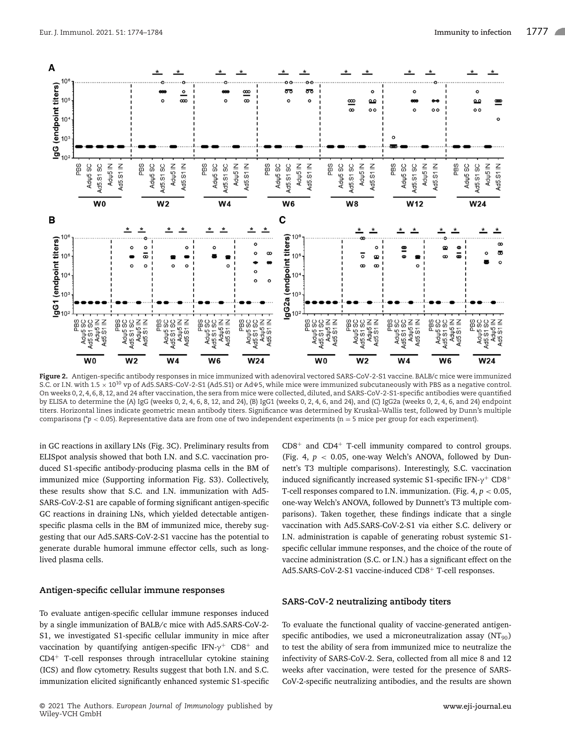

**Figure 2.** Antigen-specific antibody responses in mice immunized with adenoviral vectored SARS-CoV-2-S1 vaccine. BALB/c mice were immunized S.C. or I.N. with 1.5  $\times$  10<sup>10</sup> vp of Ad5.SARS-CoV-2-S1 (Ad5.S1) or Ad $\psi$ 5, while mice were immunized subcutaneously with PBS as a negative control. On weeks 0, 2, 4, 6, 8, 12, and 24 after vaccination, the sera from mice were collected, diluted, and SARS-CoV-2-S1-specific antibodies were quantified by ELISA to determine the (A) IgG (weeks 0, 2, 4, 6, 8, 12, and 24), (B) IgG1 (weeks 0, 2, 4, 6, and 24), and (C) IgG2a (weeks 0, 2, 4, 6, and 24) endpoint titers. Horizontal lines indicate geometric mean antibody titers. Significance was determined by Kruskal–Wallis test, followed by Dunn's multiple comparisons (\**p* < 0.05). Representative data are from one of two independent experiments (n = 5 mice per group for each experiment).

in GC reactions in axillary LNs (Fig. 3C). Preliminary results from ELISpot analysis showed that both I.N. and S.C. vaccination produced S1-specific antibody-producing plasma cells in the BM of immunized mice (Supporting information Fig. S3). Collectively, these results show that S.C. and I.N. immunization with Ad5- SARS-CoV-2-S1 are capable of forming significant antigen-specific GC reactions in draining LNs, which yielded detectable antigenspecific plasma cells in the BM of immunized mice, thereby suggesting that our Ad5.SARS-CoV-2-S1 vaccine has the potential to generate durable humoral immune effector cells, such as longlived plasma cells.

#### **Antigen-specific cellular immune responses**

To evaluate antigen-specific cellular immune responses induced by a single immunization of BALB/c mice with Ad5.SARS-CoV-2- S1, we investigated S1-specific cellular immunity in mice after vaccination by quantifying antigen-specific IFN- $γ$ <sup>+</sup> CD8<sup>+</sup> and CD4<sup>+</sup> T-cell responses through intracellular cytokine staining (ICS) and flow cytometry. Results suggest that both I.N. and S.C. immunization elicited significantly enhanced systemic S1-specific  $CD8<sup>+</sup>$  and  $CD4<sup>+</sup>$  T-cell immunity compared to control groups. (Fig. 4,  $p < 0.05$ , one-way Welch's ANOVA, followed by Dunnett's T3 multiple comparisons). Interestingly, S.C. vaccination induced significantly increased systemic S1-specific IFN- $\gamma$ <sup>+</sup> CD8<sup>+</sup> T-cell responses compared to I.N. immunization. (Fig. 4, *p* < 0.05, one-way Welch's ANOVA, followed by Dunnett's T3 multiple comparisons). Taken together, these findings indicate that a single vaccination with Ad5.SARS-CoV-2-S1 via either S.C. delivery or I.N. administration is capable of generating robust systemic S1 specific cellular immune responses, and the choice of the route of vaccine administration (S.C. or I.N.) has a significant effect on the Ad5.SARS-CoV-2-S1 vaccine-induced CD8<sup>+</sup> T-cell responses.

### **SARS-CoV-2 neutralizing antibody titers**

To evaluate the functional quality of vaccine-generated antigenspecific antibodies, we used a microneutralization assay  $(NT_{90})$ to test the ability of sera from immunized mice to neutralize the infectivity of SARS-CoV-2. Sera, collected from all mice 8 and 12 weeks after vaccination, were tested for the presence of SARS-CoV-2-specific neutralizing antibodies, and the results are shown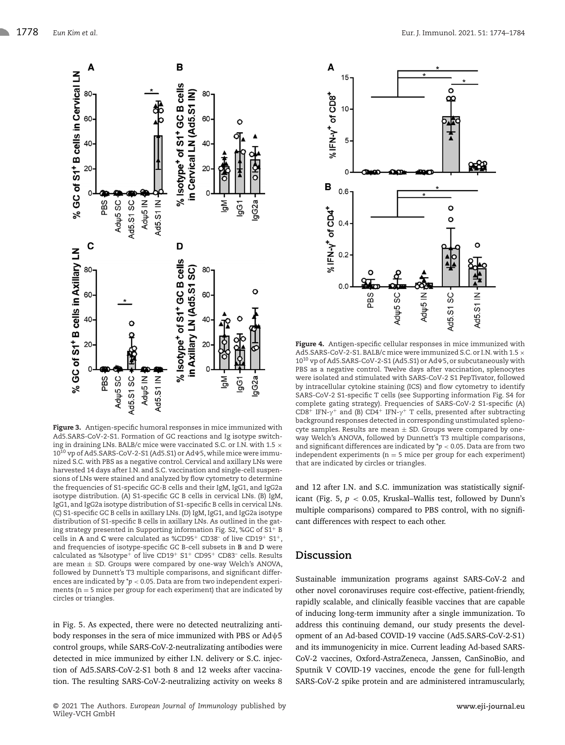

**Figure 3.** Antigen-specific humoral responses in mice immunized with Ad5.SARS-CoV-2-S1. Formation of GC reactions and Ig isotype switching in draining LNs. BALB/c mice were vaccinated S.C. or I.N. with 1.5  $\times$  $10^{10}$  vp of Ad5.SARS-CoV-2-S1 (Ad5.S1) or Ad $\Psi$ 5, while mice were immunized S.C. with PBS as a negative control. Cervical and axillary LNs were harvested 14 days after I.N. and S.C. vaccination and single-cell suspensions of LNs were stained and analyzed by flow cytometry to determine the frequencies of S1-specific GC-B cells and their IgM, IgG1, and IgG2a isotype distribution. (A) S1-specific GC B cells in cervical LNs. (B) IgM, IgG1, and IgG2a isotype distribution of S1-specific B cells in cervical LNs. (C) S1-specific GC B cells in axillary LNs. (D) IgM, IgG1, and IgG2a isotype distribution of S1-specific B cells in axillary LNs. As outlined in the gating strategy presented in Supporting information Fig. S2, %GC of S1+ B cells in **A** and **C** were calculated as %CD95<sup>+</sup> CD38– of live CD19<sup>+</sup> S1+, and frequencies of isotype-specific GC B-cell subsets in **B** and **D** were calculated as %Isotype<sup>+</sup> of live CD19<sup>+</sup> S1<sup>+</sup> CD95<sup>+</sup> CD83<sup>-</sup> cells. Results are mean  $\pm$  SD. Groups were compared by one-way Welch's ANOVA, followed by Dunnett's T3 multiple comparisons, and significant differences are indicated by \**p* <sup>&</sup>lt; 0.05. Data are from two independent experiments ( $n = 5$  mice per group for each experiment) that are indicated by circles or triangles.

in Fig. 5. As expected, there were no detected neutralizing antibody responses in the sera of mice immunized with PBS or Adψ5 control groups, while SARS-CoV-2-neutralizating antibodies were detected in mice immunized by either I.N. delivery or S.C. injection of Ad5.SARS-CoV-2-S1 both 8 and 12 weeks after vaccination. The resulting SARS-CoV-2-neutralizing activity on weeks 8



**Figure 4.** Antigen-specific cellular responses in mice immunized with Ad5.SARS-CoV-2-S1. BALB/c mice were immunized S.C. or I.N. with 1.5  $\times$ 10<sup>10</sup> vp of Ad5.SARS-CoV-2-S1 (Ad5.S1) or Ad $\Psi$ 5, or subcutaneously with PBS as a negative control. Twelve days after vaccination, splenocytes were isolated and stimulated with SARS-CoV-2 S1 PepTivator, followed by intracellular cytokine staining (ICS) and flow cytometry to identify SARS-CoV-2 S1-specific T cells (see Supporting information Fig. S4 for complete gating strategy). Frequencies of SARS-CoV-2 S1-specific (A) CD8<sup>+</sup> IFN- $\gamma$ <sup>+</sup> and (B) CD4<sup>+</sup> IFN- $\gamma$ <sup>+</sup> T cells, presented after subtracting background responses detected in corresponding unstimulated splenocyte samples. Results are mean  $\pm$  SD. Groups were compared by oneway Welch's ANOVA, followed by Dunnett's T3 multiple comparisons, and significant differences are indicated by \**p* <sup>&</sup>lt; 0.05. Data are from two independent experiments ( $n = 5$  mice per group for each experiment) that are indicated by circles or triangles.

and 12 after I.N. and S.C. immunization was statistically significant (Fig. 5, *p* < 0.05, Kruskal–Wallis test, followed by Dunn's multiple comparisons) compared to PBS control, with no significant differences with respect to each other.

# **Discussion**

Sustainable immunization programs against SARS-CoV-2 and other novel coronaviruses require cost-effective, patient-friendly, rapidly scalable, and clinically feasible vaccines that are capable of inducing long-term immunity after a single immunization. To address this continuing demand, our study presents the development of an Ad-based COVID-19 vaccine (Ad5.SARS-CoV-2-S1) and its immunogenicity in mice. Current leading Ad-based SARS-CoV-2 vaccines, Oxford-AstraZeneca, Janssen, CanSinoBio, and Sputnik V COVID-19 vaccines, encode the gene for full-length SARS-CoV-2 spike protein and are administered intramuscularly,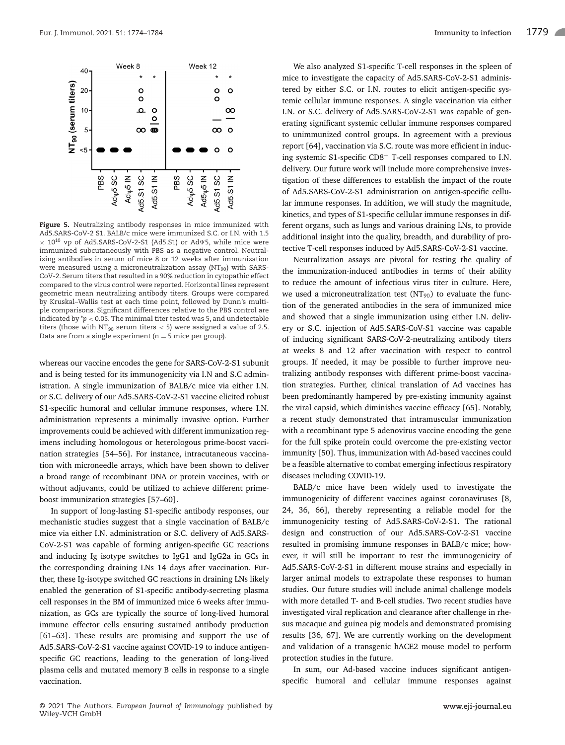

**Figure 5.** Neutralizing antibody responses in mice immunized with Ad5.SARS-CoV-2 S1. BALB/c mice were immunized S.C. or I.N. with 1.5  $\times$  10<sup>10</sup> vp of Ad5.SARS-CoV-2-S1 (Ad5.S1) or Ad $\Psi$ 5, while mice were immunized subcutaneously with PBS as a negative control. Neutralizing antibodies in serum of mice 8 or 12 weeks after immunization were measured using a microneutralization assay  $(NT<sub>90</sub>)$  with SARS-CoV-2. Serum titers that resulted in a 90% reduction in cytopathic effect compared to the virus control were reported. Horizontal lines represent geometric mean neutralizing antibody titers. Groups were compared by Kruskal–Wallis test at each time point, followed by Dunn's multiple comparisons. Significant differences relative to the PBS control are indicated by \**p* <sup>&</sup>lt; 0.05. The minimal titer tested was 5, and undetectable titers (those with  $NT_{90}$  serum titers < 5) were assigned a value of 2.5. Data are from a single experiment ( $n = 5$  mice per group).

whereas our vaccine encodes the gene for SARS-CoV-2-S1 subunit and is being tested for its immunogenicity via I.N and S.C administration. A single immunization of BALB/c mice via either I.N. or S.C. delivery of our Ad5.SARS-CoV-2-S1 vaccine elicited robust S1-specific humoral and cellular immune responses, where I.N. administration represents a minimally invasive option. Further improvements could be achieved with different immunization regimens including homologous or heterologous prime-boost vaccination strategies [54–56]. For instance, intracutaneous vaccination with microneedle arrays, which have been shown to deliver a broad range of recombinant DNA or protein vaccines, with or without adjuvants, could be utilized to achieve different primeboost immunization strategies [57–60].

In support of long-lasting S1-specific antibody responses, our mechanistic studies suggest that a single vaccination of BALB/c mice via either I.N. administration or S.C. delivery of Ad5.SARS-CoV-2-S1 was capable of forming antigen-specific GC reactions and inducing Ig isotype switches to IgG1 and IgG2a in GCs in the corresponding draining LNs 14 days after vaccination. Further, these Ig-isotype switched GC reactions in draining LNs likely enabled the generation of S1-specific antibody-secreting plasma cell responses in the BM of immunized mice 6 weeks after immunization, as GCs are typically the source of long-lived humoral immune effector cells ensuring sustained antibody production [61–63]. These results are promising and support the use of Ad5.SARS-CoV-2-S1 vaccine against COVID-19 to induce antigenspecific GC reactions, leading to the generation of long-lived plasma cells and mutated memory B cells in response to a single vaccination.

We also analyzed S1-specific T-cell responses in the spleen of mice to investigate the capacity of Ad5.SARS-CoV-2-S1 administered by either S.C. or I.N. routes to elicit antigen-specific systemic cellular immune responses. A single vaccination via either I.N. or S.C. delivery of Ad5.SARS-CoV-2-S1 was capable of generating significant systemic cellular immune responses compared to unimmunized control groups. In agreement with a previous report [64], vaccination via S.C. route was more efficient in inducing systemic S1-specific CD8<sup>+</sup> T-cell responses compared to I.N. delivery. Our future work will include more comprehensive investigation of these differences to establish the impact of the route of Ad5.SARS-CoV-2-S1 administration on antigen-specific cellular immune responses. In addition, we will study the magnitude, kinetics, and types of S1-specific cellular immune responses in different organs, such as lungs and various draining LNs, to provide additional insight into the quality, breadth, and durability of protective T-cell responses induced by Ad5.SARS-CoV-2-S1 vaccine.

Neutralization assays are pivotal for testing the quality of the immunization-induced antibodies in terms of their ability to reduce the amount of infectious virus titer in culture. Here, we used a microneutralization test ( $NT_{90}$ ) to evaluate the function of the generated antibodies in the sera of immunized mice and showed that a single immunization using either I.N. delivery or S.C. injection of Ad5.SARS-CoV-S1 vaccine was capable of inducing significant SARS-CoV-2-neutralizing antibody titers at weeks 8 and 12 after vaccination with respect to control groups. If needed, it may be possible to further improve neutralizing antibody responses with different prime-boost vaccination strategies. Further, clinical translation of Ad vaccines has been predominantly hampered by pre-existing immunity against the viral capsid, which diminishes vaccine efficacy [65]. Notably, a recent study demonstrated that intramuscular immunization with a recombinant type 5 adenovirus vaccine encoding the gene for the full spike protein could overcome the pre-existing vector immunity [50]. Thus, immunization with Ad-based vaccines could be a feasible alternative to combat emerging infectious respiratory diseases including COVID-19.

BALB/c mice have been widely used to investigate the immunogenicity of different vaccines against coronaviruses [8, 24, 36, 66], thereby representing a reliable model for the immunogenicity testing of Ad5.SARS-CoV-2-S1. The rational design and construction of our Ad5.SARS-CoV-2-S1 vaccine resulted in promising immune responses in BALB/c mice; however, it will still be important to test the immunogenicity of Ad5.SARS-CoV-2-S1 in different mouse strains and especially in larger animal models to extrapolate these responses to human studies. Our future studies will include animal challenge models with more detailed T- and B-cell studies. Two recent studies have investigated viral replication and clearance after challenge in rhesus macaque and guinea pig models and demonstrated promising results [36, 67]. We are currently working on the development and validation of a transgenic hACE2 mouse model to perform protection studies in the future.

In sum, our Ad-based vaccine induces significant antigenspecific humoral and cellular immune responses against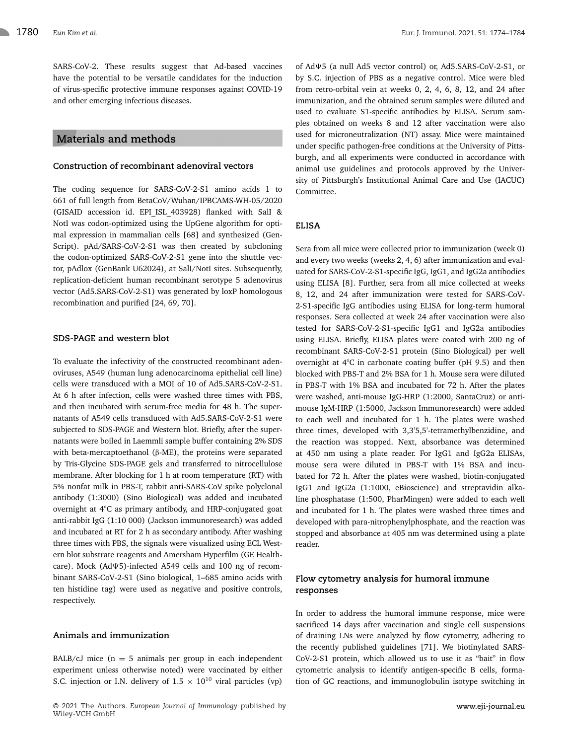SARS-CoV-2. These results suggest that Ad-based vaccines have the potential to be versatile candidates for the induction of virus-specific protective immune responses against COVID-19 and other emerging infectious diseases.

# **Materials and methods**

#### **Construction of recombinant adenoviral vectors**

The coding sequence for SARS-CoV-2-S1 amino acids 1 to 661 of full length from BetaCoV/Wuhan/IPBCAMS-WH-05/2020 (GISAID accession id. EPI ISL 403928) flanked with SalI & NotI was codon-optimized using the UpGene algorithm for optimal expression in mammalian cells [68] and synthesized (Gen-Script). pAd/SARS-CoV-2-S1 was then created by subcloning the codon-optimized SARS-CoV-2-S1 gene into the shuttle vector, pAdlox (GenBank U62024), at SalI/NotI sites. Subsequently, replication-deficient human recombinant serotype 5 adenovirus vector (Ad5.SARS-CoV-2-S1) was generated by loxP homologous recombination and purified [24, 69, 70].

### **SDS-PAGE and western blot**

To evaluate the infectivity of the constructed recombinant adenoviruses, A549 (human lung adenocarcinoma epithelial cell line) cells were transduced with a MOI of 10 of Ad5.SARS-CoV-2-S1. At 6 h after infection, cells were washed three times with PBS, and then incubated with serum-free media for 48 h. The supernatants of A549 cells transduced with Ad5.SARS-CoV-2-S1 were subjected to SDS-PAGE and Western blot. Briefly, after the supernatants were boiled in Laemmli sample buffer containing 2% SDS with beta-mercaptoethanol (β-ME), the proteins were separated by Tris-Glycine SDS-PAGE gels and transferred to nitrocellulose membrane. After blocking for 1 h at room temperature (RT) with 5% nonfat milk in PBS-T, rabbit anti-SARS-CoV spike polyclonal antibody (1:3000) (Sino Biological) was added and incubated overnight at 4°C as primary antibody, and HRP-conjugated goat anti-rabbit IgG (1:10 000) (Jackson immunoresearch) was added and incubated at RT for 2 h as secondary antibody. After washing three times with PBS, the signals were visualized using ECL Western blot substrate reagents and Amersham Hyperfilm (GE Healthcare). Mock (Ad $\psi$ 5)-infected A549 cells and 100 ng of recombinant SARS-CoV-2-S1 (Sino biological, 1–685 amino acids with ten histidine tag) were used as negative and positive controls, respectively.

### **Animals and immunization**

BALB/cJ mice  $(n = 5$  animals per group in each independent experiment unless otherwise noted) were vaccinated by either S.C. injection or I.N. delivery of  $1.5 \times 10^{10}$  viral particles (vp)

of Ad $\Psi$ 5 (a null Ad5 vector control) or, Ad5.SARS-CoV-2-S1, or by S.C. injection of PBS as a negative control. Mice were bled from retro-orbital vein at weeks 0, 2, 4, 6, 8, 12, and 24 after immunization, and the obtained serum samples were diluted and used to evaluate S1-specific antibodies by ELISA. Serum samples obtained on weeks 8 and 12 after vaccination were also used for microneutralization (NT) assay. Mice were maintained under specific pathogen-free conditions at the University of Pittsburgh, and all experiments were conducted in accordance with animal use guidelines and protocols approved by the University of Pittsburgh's Institutional Animal Care and Use (IACUC) Committee.

# **ELISA**

Sera from all mice were collected prior to immunization (week 0) and every two weeks (weeks 2, 4, 6) after immunization and evaluated for SARS-CoV-2-S1-specific IgG, IgG1, and IgG2a antibodies using ELISA [8]. Further, sera from all mice collected at weeks 8, 12, and 24 after immunization were tested for SARS-CoV-2-S1-specific IgG antibodies using ELISA for long-term humoral responses. Sera collected at week 24 after vaccination were also tested for SARS-CoV-2-S1-specific IgG1 and IgG2a antibodies using ELISA. Briefly, ELISA plates were coated with 200 ng of recombinant SARS-CoV-2-S1 protein (Sino Biological) per well overnight at 4°C in carbonate coating buffer (pH 9.5) and then blocked with PBS-T and 2% BSA for 1 h. Mouse sera were diluted in PBS-T with 1% BSA and incubated for 72 h. After the plates were washed, anti-mouse IgG-HRP (1:2000, SantaCruz) or antimouse IgM-HRP (1:5000, Jackson Immunoresearch) were added to each well and incubated for 1 h. The plates were washed three times, developed with 3,3'5,5'-tetramethylbenzidine, and the reaction was stopped. Next, absorbance was determined at 450 nm using a plate reader. For IgG1 and IgG2a ELISAs, mouse sera were diluted in PBS-T with 1% BSA and incubated for 72 h. After the plates were washed, biotin-conjugated IgG1 and IgG2a (1:1000, eBioscience) and streptavidin alkaline phosphatase (1:500, PharMingen) were added to each well and incubated for 1 h. The plates were washed three times and developed with para-nitrophenylphosphate, and the reaction was stopped and absorbance at 405 nm was determined using a plate reader.

# **Flow cytometry analysis for humoral immune responses**

In order to address the humoral immune response, mice were sacrificed 14 days after vaccination and single cell suspensions of draining LNs were analyzed by flow cytometry, adhering to the recently published guidelines [71]. We biotinylated SARS-CoV-2-S1 protein, which allowed us to use it as "bait" in flow cytometric analysis to identify antigen-specific B cells, formation of GC reactions, and immunoglobulin isotype switching in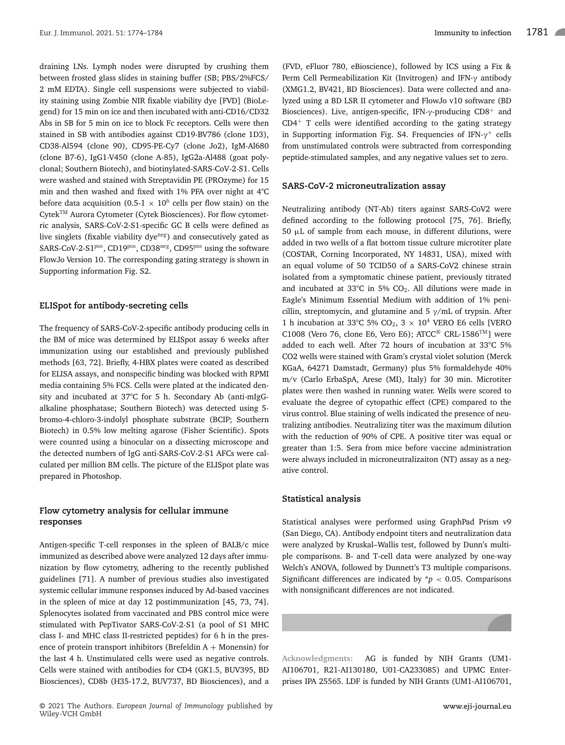draining LNs. Lymph nodes were disrupted by crushing them between frosted glass slides in staining buffer (SB; PBS/2%FCS/ 2 mM EDTA). Single cell suspensions were subjected to viability staining using Zombie NIR fixable viability dye [FVD] (BioLegend) for 15 min on ice and then incubated with anti-CD16/CD32 Abs in SB for 5 min on ice to block Fc receptors. Cells were then stained in SB with antibodies against CD19-BV786 (clone 1D3), CD38-Al594 (clone 90), CD95-PE-Cy7 (clone Jo2), IgM-Al680 (clone B7-6), IgG1-V450 (clone A-85), IgG2a-Al488 (goat polyclonal; Southern Biotech), and biotinylated-SARS-CoV-2-S1. Cells were washed and stained with Streptavidin PE (PROzyme) for 15 min and then washed and fixed with 1% PFA over night at 4°C before data acquisition (0.5-1  $\times$  10<sup>6</sup> cells per flow stain) on the Cytek™ Aurora Cytometer (Cytek Biosciences). For flow cytometric analysis, SARS-CoV-2-S1-specific GC B cells were defined as live singlets (fixable viability dye<sup>neg</sup>) and consecutively gated as SARS-CoV-2-S1pos, CD19pos, CD38neg, CD95pos using the software FlowJo Version 10. The corresponding gating strategy is shown in Supporting information Fig. S2.

## **ELISpot for antibody-secreting cells**

The frequency of SARS-CoV-2-specific antibody producing cells in the BM of mice was determined by ELISpot assay 6 weeks after immunization using our established and previously published methods [63, 72]. Briefly, 4-HBX plates were coated as described for ELISA assays, and nonspecific binding was blocked with RPMI media containing 5% FCS. Cells were plated at the indicated density and incubated at 37°C for 5 h. Secondary Ab (anti-mIgGalkaline phosphatase; Southern Biotech) was detected using 5 bromo-4-chloro-3-indolyl phosphate substrate (BCIP; Southern Biotech) in 0.5% low melting agarose (Fisher Scientific). Spots were counted using a binocular on a dissecting microscope and the detected numbers of IgG anti-SARS-CoV-2-S1 AFCs were calculated per million BM cells. The picture of the ELISpot plate was prepared in Photoshop.

# **Flow cytometry analysis for cellular immune responses**

Antigen-specific T-cell responses in the spleen of BALB/c mice immunized as described above were analyzed 12 days after immunization by flow cytometry, adhering to the recently published guidelines [71]. A number of previous studies also investigated systemic cellular immune responses induced by Ad-based vaccines in the spleen of mice at day 12 postimmunization [45, 73, 74]. Splenocytes isolated from vaccinated and PBS control mice were stimulated with PepTivator SARS-CoV-2-S1 (a pool of S1 MHC class I- and MHC class II-restricted peptides) for 6 h in the presence of protein transport inhibitors (Brefeldin  $A + Monensin$ ) for the last 4 h. Unstimulated cells were used as negative controls. Cells were stained with antibodies for CD4 (GK1.5, BUV395, BD Biosciences), CD8b (H35-17.2, BUV737, BD Biosciences), and a

(FVD, eFluor 780, eBioscience), followed by ICS using a Fix & Perm Cell Permeabilization Kit (Invitrogen) and IFN-γ antibody (XMG1.2, BV421, BD Biosciences). Data were collected and analyzed using a BD LSR II cytometer and FlowJo v10 software (BD Biosciences). Live, antigen-specific, IFN- $\gamma$ -producing CD8<sup>+</sup> and  $CD4<sup>+</sup>$  T cells were identified according to the gating strategy in Supporting information Fig. S4. Frequencies of IFN- $\gamma^+$  cells from unstimulated controls were subtracted from corresponding peptide-stimulated samples, and any negative values set to zero.

#### **SARS-CoV-2 microneutralization assay**

Neutralizing antibody (NT-Ab) titers against SARS-CoV2 were defined according to the following protocol [75, 76]. Briefly, 50 μL of sample from each mouse, in different dilutions, were added in two wells of a flat bottom tissue culture microtiter plate (COSTAR, Corning Incorporated, NY 14831, USA), mixed with an equal volume of 50 TCID50 of a SARS-CoV2 chinese strain isolated from a symptomatic chinese patient, previously titrated and incubated at 33°C in 5%  $CO<sub>2</sub>$ . All dilutions were made in Eagle's Minimum Essential Medium with addition of 1% penicillin, streptomycin, and glutamine and 5 γ/mL of trypsin. After 1 h incubation at 33°C 5% CO<sub>2</sub>, 3  $\times$  10<sup>4</sup> VERO E6 cells [VERO C1008 (Vero 76, clone E6, Vero E6); ATCC® CRL-1586TM] were added to each well. After 72 hours of incubation at 33°C 5% CO2 wells were stained with Gram's crystal violet solution (Merck KGaA, 64271 Damstadt, Germany) plus 5% formaldehyde 40% m/v (Carlo ErbaSpA, Arese (MI), Italy) for 30 min. Microtiter plates were then washed in running water. Wells were scored to evaluate the degree of cytopathic effect (CPE) compared to the virus control. Blue staining of wells indicated the presence of neutralizing antibodies. Neutralizing titer was the maximum dilution with the reduction of 90% of CPE. A positive titer was equal or greater than 1:5. Sera from mice before vaccine administration were always included in microneutralizaiton (NT) assay as a negative control.

#### **Statistical analysis**

Statistical analyses were performed using GraphPad Prism v9 (San Diego, CA). Antibody endpoint titers and neutralization data were analyzed by Kruskal–Wallis test, followed by Dunn's multiple comparisons. B- and T-cell data were analyzed by one-way Welch's ANOVA, followed by Dunnett's T3 multiple comparisons. Significant differences are indicated by  $\dot{p}$  < 0.05. Comparisons with nonsignificant differences are not indicated.

**Acknowledgments:** AG is funded by NIH Grants (UM1- AI106701, R21-AI130180, U01-CA233085) and UPMC Enterprises IPA 25565. LDF is funded by NIH Grants (UM1-AI106701,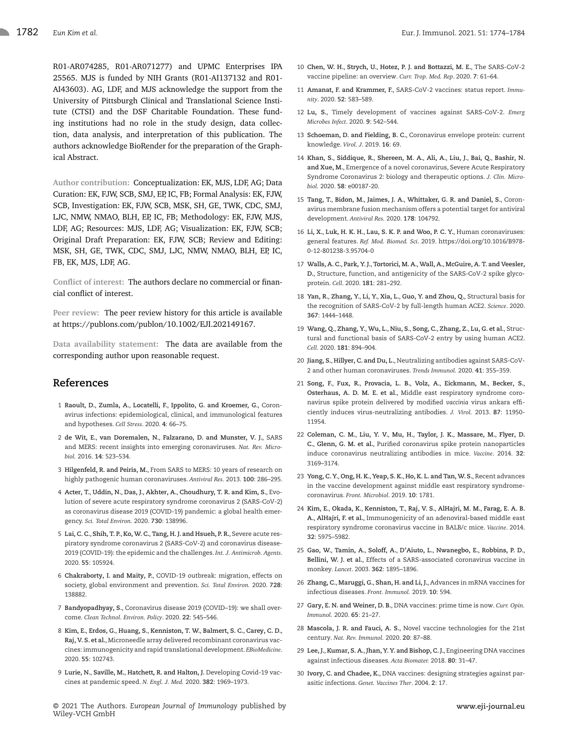R01-AR074285, R01-AR071277) and UPMC Enterprises IPA 25565. MJS is funded by NIH Grants (R01-AI137132 and R01- AI43603). AG, LDF, and MJS acknowledge the support from the University of Pittsburgh Clinical and Translational Science Institute (CTSI) and the DSF Charitable Foundation. These funding institutions had no role in the study design, data collection, data analysis, and interpretation of this publication. The authors acknowledge BioRender for the preparation of the Graphical Abstract.

**Author contribution:** Conceptualization: EK, MJS, LDF, AG; Data Curation: EK, FJW, SCB, SMJ, EP, IC, FB; Formal Analysis: EK, FJW, SCB, Investigation: EK, FJW, SCB, MSK, SH, GE, TWK, CDC, SMJ, LJC, NMW, NMAO, BLH, EP, IC, FB; Methodology: EK, FJW, MJS, LDF, AG; Resources: MJS, LDF, AG; Visualization: EK, FJW, SCB; Original Draft Preparation: EK, FJW, SCB; Review and Editing: MSK, SH, GE, TWK, CDC, SMJ, LJC, NMW, NMAO, BLH, EP, IC, FB, EK, MJS, LDF, AG.

**Conflict of interest:** The authors declare no commercial or financial conflict of interest.

**Peer review:** The peer review history for this article is available at https://publons.com/publon/10.1002/EJI.202149167.

**Data availability statement:** The data are available from the corresponding author upon reasonable request.

# **References**

- 1 **Raoult, D.**, **Zumla, A.**, **Locatelli, F.**, **Ippolito, G. and Kroemer, G.**, Coronavirus infections: epidemiological, clinical, and immunological features and hypotheses. *Cell Stress*. 2020. **4**: 66–75.
- 2 **de Wit, E.**, **van Doremalen, N.**, **Falzarano, D. and Munster, V. J.**, SARS and MERS: recent insights into emerging coronaviruses. *Nat. Rev. Microbiol.* 2016. **14**: 523–534.
- 3 **Hilgenfeld, R. and Peiris, M.**, From SARS to MERS: 10 years of research on highly pathogenic human coronaviruses. *Antiviral Res.* 2013. **100**: 286–295.
- 4 **Acter, T.**, **Uddin, N.**, **Das, J.**, **Akhter, A.**, **Choudhury, T. R. and Kim, S.**, Evolution of severe acute respiratory syndrome coronavirus 2 (SARS-CoV-2) as coronavirus disease 2019 (COVID-19) pandemic: a global health emergency. *Sci. Total Environ.* 2020. **730**: 138996.
- 5 **Lai, C. C.**, **Shih, T. P.**, **Ko,W. C.**,**Tang, H. J. and Hsueh, P. R.**, Severe acute respiratory syndrome coronavirus 2 (SARS-CoV-2) and coronavirus disease-2019 (COVID-19): the epidemic and the challenges. *Int. J. Antimicrob. Agents*. 2020. **55**: 105924.
- 6 **Chakraborty, I. and Maity, P.**, COVID-19 outbreak: migration, effects on society, global environment and prevention. *Sci. Total Environ.* 2020. **728**: 138882.
- 7 **Bandyopadhyay, S.**, Coronavirus disease 2019 (COVID–19): we shall overcome. *Clean Technol. Environ. Policy*. 2020. **22**: 545–546.
- 8 **Kim, E.**, **Erdos, G.**, **Huang, S.**, **Kenniston, T. W.**, **Balmert, S. C.**, **Carey, C. D.**, **Raj, V. S. et al.**, Microneedle array delivered recombinant coronavirus vaccines: immunogenicity and rapid translational development. *EBioMedicine*. 2020. **55**: 102743.
- 9 **Lurie, N.**, **Saville, M.**, **Hatchett, R. and Halton, J.** Developing Covid-19 vaccines at pandemic speed. *N. Engl. J. Med.* 2020. **382**: 1969–1973.
- 10 **Chen, W. H.**, **Strych, U.**, **Hotez, P. J. and Bottazzi, M. E.**, The SARS-CoV-2 vaccine pipeline: an overview. *Curr. Trop. Med. Rep*. 2020. **7**: 61–64.
- 11 **Amanat, F. and Krammer, F.**, SARS-CoV-2 vaccines: status report. *Immunity*. 2020. **52**: 583–589.
- 12 **Lu, S.**, Timely development of vaccines against SARS-CoV-2. *Emerg Microbes Infect*. 2020. **9**: 542–544.
- 13 **Schoeman, D. and Fielding, B. C.**, Coronavirus envelope protein: current knowledge. *Virol. J*. 2019. **16**: 69.
- 14 **Khan, S.**, **Siddique, R.**, **Shereen, M. A.**, **Ali, A.**, **Liu, J.**, **Bai, Q.**, **Bashir, N. and Xue, M.**, Emergence of a novel coronavirus, Severe Acute Respiratory Syndrome Coronavirus 2: biology and therapeutic options. *J. Clin. Microbiol.* 2020. **58**: e00187-20.
- 15 **Tang, T.**, **Bidon, M.**, **Jaimes, J. A.**, **Whittaker, G. R. and Daniel, S.**, Coronavirus membrane fusion mechanism offers a potential target for antiviral development. *Antiviral Res.* 2020. **178**: 104792.
- 16 **Li, X.**, **Luk, H. K. H.**, **Lau, S. K. P. and Woo, P. C. Y.**, Human coronaviruses: general features. *Ref. Mod. Biomed. Sci*. 2019. https://doi.org/10.1016/B978- 0-12-801238-3.95704-0
- 17 **Walls, A. C.**, **Park, Y. J.**, **Tortorici, M. A.**,**Wall, A.**, **McGuire, A. T. and Veesler, D.**, Structure, function, and antigenicity of the SARS-CoV-2 spike glycoprotein. *Cell*. 2020. **181**: 281–292.
- 18 **Yan, R.**, **Zhang, Y.**, **Li, Y.**, **Xia, L.**, **Guo, Y. and Zhou, Q.**, Structural basis for the recognition of SARS-CoV-2 by full-length human ACE2. *Science*. 2020. **367**: 1444–1448.
- 19 **Wang, Q.**, **Zhang, Y.**, **Wu, L.**, **Niu, S.**, **Song, C.**, **Zhang, Z.**, **Lu, G. et al.**, Structural and functional basis of SARS-CoV-2 entry by using human ACE2. *Cell*. 2020. **181**: 894–904.
- 20 **Jiang, S.**, **Hillyer, C. and Du, L.**, Neutralizing antibodies against SARS-CoV-2 and other human coronaviruses. *Trends Immunol.* 2020. **41**: 355–359.
- 21 **Song, F.**, **Fux, R.**, **Provacia, L. B.**, **Volz, A.**, **Eickmann, M.**, **Becker, S.**, **Osterhaus, A. D. M. E. et al.**, Middle east respiratory syndrome coronavirus spike protein delivered by modified *vaccinia* virus ankara efficiently induces virus-neutralizing antibodies. *J. Virol.* 2013. **87**: 11950- 11954.
- 22 **Coleman, C. M.**, **Liu, Y. V.**, **Mu, H.**, **Taylor, J. K.**, **Massare, M.**, **Flyer, D. C.**, **Glenn, G. M. et al.**, Purified coronavirus spike protein nanoparticles induce coronavirus neutralizing antibodies in mice. *Vaccine*. 2014. **32**: 3169–3174.
- 23 **Yong, C. Y.**, **Ong, H. K.**, **Yeap, S. K.**, **Ho, K. L. and Tan,W. S.**, Recent advances in the vaccine development against middle east respiratory syndromecoronavirus. *Front. Microbiol*. 2019. **10**: 1781.
- 24 **Kim, E.**, **Okada, K.**, **Kenniston, T.**, **Raj, V. S.**, **AlHajri, M. M.**, **Farag, E. A. B. A.**, **AlHajri, F. et al.**, Immunogenicity of an adenoviral-based middle east respiratory syndrome coronavirus vaccine in BALB/c mice. *Vaccine*. 2014. **32**: 5975–5982.
- 25 **Gao, W.**, **Tamin, A.**, **Soloff, A.**, **D'Aiuto, L.**, **Nwanegbo, E.**, **Robbins, P. D.**, **Bellini, W. J. et al.**, Effects of a SARS-associated coronavirus vaccine in monkey. *Lancet*. 2003. **362**: 1895–1896.
- 26 **Zhang, C.**, **Maruggi, G.**, **Shan, H. and Li, J.**, Advances in mRNA vaccines for infectious diseases. *Front. Immunol.* 2019. **10**: 594.
- 27 **Gary, E. N. and Weiner, D. B.**, DNA vaccines: prime time is now. *Curr. Opin. Immunol.* 2020. **65**: 21–27.
- 28 **Mascola, J. R. and Fauci, A. S.**, Novel vaccine technologies for the 21st century. *Nat. Rev. Immunol.* 2020. **20**: 87–88.
- 29 **Lee, J.**, **Kumar, S. A.**, **Jhan, Y. Y. and Bishop, C. J.**, Engineering DNA vaccines against infectious diseases. *Acta Biomater.* 2018. **80**: 31–47.
- 30 **Ivory, C. and Chadee, K.**, DNA vaccines: designing strategies against parasitic infections. *Genet. Vaccines Ther*. 2004. **2**: 17.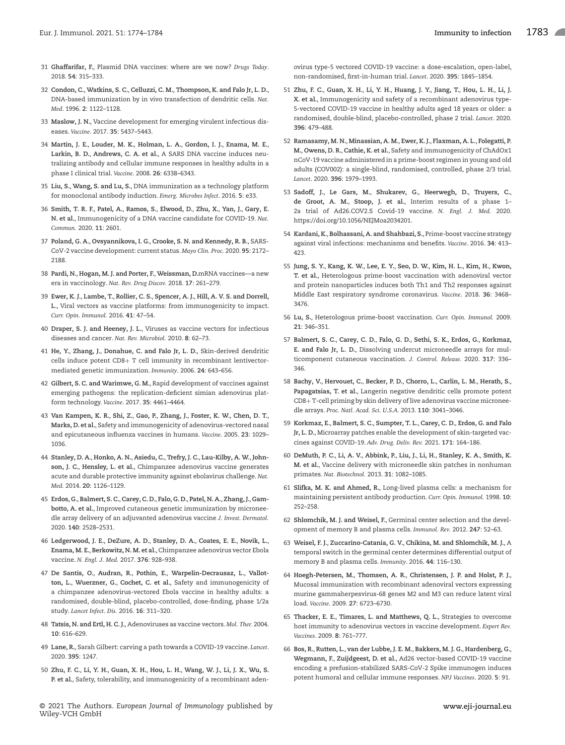- 31 **Ghaffarifar, F.**, Plasmid DNA vaccines: where are we now? *Drugs Today*. 2018. **54**: 315–333.
- 32 **Condon, C.**, **Watkins, S. C.**, **Celluzzi, C. M.**, **Thompson, K. and Falo Jr, L. D.**, DNA-based immunization by in vivo transfection of dendritic cells. *Nat. Med*. 1996. **2**: 1122–1128.
- 33 **Maslow, J. N.**, Vaccine development for emerging virulent infectious diseases. *Vaccine*. 2017. **35**: 5437–5443.
- 34 **Martin, J. E.**, **Louder, M. K.**, **Holman, L. A.**, **Gordon, I. J.**, **Enama, M. E.**, **Larkin, B. D.**, **Andrews, C. A. et al.**, A SARS DNA vaccine induces neutralizing antibody and cellular immune responses in healthy adults in a phase I clinical trial. *Vaccine*. 2008. **26**: 6338–6343.
- 35 **Liu, S.**, **Wang, S. and Lu, S.**, DNA immunization as a technology platform for monoclonal antibody induction. *Emerg. Microbes Infect*. 2016. **5**: e33.
- 36 **Smith, T. R. F.**, **Patel, A.**, **Ramos, S.**, **Elwood, D.**, **Zhu, X.**, **Yan, J.**, **Gary, E. N. et al.**, Immunogenicity of a DNA vaccine candidate for COVID-19. *Nat. Commun.* 2020. **11**: 2601.
- 37 **Poland, G. A.**, **Ovsyannikova, I. G.**, **Crooke, S. N. and Kennedy, R. B.**, SARS-CoV-2 vaccine development: current status. *Mayo Clin. Proc.* 2020. **95**: 2172– 2188.
- 38 **Pardi, N.**, **Hogan, M. J. and Porter, F.**, **Weissman, D.**mRNA vaccines—a new era in vaccinology. *Nat. Rev. Drug Discov.* 2018. **17**: 261–279.
- 39 **Ewer, K. J.**, **Lambe, T.**, **Rollier, C. S.**, **Spencer, A. J.**, **Hill, A. V. S. and Dorrell, L.**, Viral vectors as vaccine platforms: from immunogenicity to impact. *Curr. Opin. Immunol.* 2016. **41**: 47–54.
- 40 **Draper, S. J. and Heeney, J. L.**, Viruses as vaccine vectors for infectious diseases and cancer. *Nat. Rev. Microbiol.* 2010. **8**: 62–73.
- 41 **He, Y.**, **Zhang, J.**, **Donahue, C. and Falo Jr, L. D.**, Skin-derived dendritic cells induce potent CD8+ T cell immunity in recombinant lentivectormediated genetic immunization. *Immunity*. 2006. **24**: 643–656.
- 42 **Gilbert, S. C. and Warimwe, G. M.**, Rapid development of vaccines against emerging pathogens: the replication-deficient simian adenovirus platform technology. *Vaccine*. 2017. **35**: 4461–4464.
- 43 **Van Kampen, K. R.**, **Shi, Z.**, **Gao, P.**, **Zhang, J.**, **Foster, K. W.**, **Chen, D. T.**, **Marks, D. et al.**, Safety and immunogenicity of adenovirus-vectored nasal and epicutaneous influenza vaccines in humans. *Vaccine*. 2005. **23**: 1029– 1036.
- 44 **Stanley, D. A.**, **Honko, A. N.**, **Asiedu, C.**, **Trefry, J. C.**, **Lau-Kilby, A. W.**, **Johnson, J. C.**, **Hensley, L. et al.**, Chimpanzee adenovirus vaccine generates acute and durable protective immunity against ebolavirus challenge. *Nat. Med.* 2014. **20**: 1126–1129.
- 45 **Erdos, G.**, **Balmert, S. C.**,**Carey, C. D.**, **Falo, G. D.**, **Patel, N. A.**,**Zhang, J.**, **Gambotto, A. et al.**, Improved cutaneous genetic immunization by microneedle array delivery of an adjuvanted adenovirus vaccine *J. Invest. Dermatol.* 2020. **140**: 2528–2531.
- 46 **Ledgerwood, J. E.**, **DeZure, A. D.**, **Stanley, D. A.**, **Coates, E. E.**, **Novik, L.**, **Enama, M. E.**, **Berkowitz, N. M. et al.**, Chimpanzee adenovirus vector Ebola vaccine. *N. Engl. J. Med.* 2017. **376**: 928–938.
- 47 **De Santis, O.**, **Audran, R.**, **Pothin, E.**, **Warpelin-Decrausaz, L.**, **Vallotton, L.**, **Wuerzner, G.**, **Cochet, C. et al.**, Safety and immunogenicity of a chimpanzee adenovirus-vectored Ebola vaccine in healthy adults: a randomised, double-blind, placebo-controlled, dose-finding, phase 1/2a study. *Lancet Infect. Dis.* 2016. **16**: 311–320.
- 48 **Tatsis, N. and Ertl, H. C. J.**, Adenoviruses as vaccine vectors. *Mol. Ther.* 2004. **10**: 616–629.
- 49 **Lane, R.**, Sarah Gilbert: carving a path towards a COVID-19 vaccine. *Lancet*. 2020. **395**: 1247.
- 50 **Zhu, F. C.**, **Li, Y. H.**, **Guan, X. H.**, **Hou, L. H.**, **Wang, W. J.**, **Li, J. X.**, **Wu, S. P. et al.**, Safety, tolerability, and immunogenicity of a recombinant aden-

© 2021 The Authors. *European Journal of Immunology* published by Wiley-VCH GmbH

ovirus type-5 vectored COVID-19 vaccine: a dose-escalation, open-label, non-randomised, first-in-human trial. *Lancet*. 2020. **395**: 1845–1854.

- 51 **Zhu, F. C.**, **Guan, X. H.**, **Li, Y. H.**, **Huang, J. Y.**, **Jiang, T.**, **Hou, L. H.**, **Li, J. X. et al.**, Immunogenicity and safety of a recombinant adenovirus type-5-vectored COVID-19 vaccine in healthy adults aged 18 years or older: a randomised, double-blind, placebo-controlled, phase 2 trial. *Lancet*. 2020. **396**: 479–488.
- 52 **Ramasamy, M. N.**, **Minassian, A. M.**, **Ewer, K. J.**, **Flaxman, A. L.**, **Folegatti, P. M.**, **Owens, D. R.**, **Cathie, K. et al.**, Safety and immunogenicity of ChAdOx1 nCoV-19 vaccine administered in a prime-boost regimen in young and old adults (COV002): a single-blind, randomised, controlled, phase 2/3 trial. *Lancet*. 2020. **396**: 1979–1993.
- 53 **Sadoff, J.**, **Le Gars, M.**, **Shukarev, G.**, **Heerwegh, D.**, **Truyers, C.**, **de Groot, A. M.**, **Stoop, J. et al.**, Interim results of a phase 1– 2a trial of Ad26.COV2.S Covid-19 vaccine. *N. Engl. J. Med.* 2020. https://doi.org/10.1056/NEJMoa2034201.
- 54 **Kardani, K.**, **Bolhassani, A. and Shahbazi, S.**, Prime-boost vaccine strategy against viral infections: mechanisms and benefits. *Vaccine*. 2016. **34**: 413–  $123$
- 55 **Jung, S. Y.**, **Kang, K. W.**, **Lee, E. Y.**, **Seo, D. W.**, **Kim, H. L.**, **Kim, H.**, **Kwon, T. et al.**, Heterologous prime-boost vaccination with adenoviral vector and protein nanoparticles induces both Th1 and Th2 responses against Middle East respiratory syndrome coronavirus. *Vaccine*. 2018. **36**: 3468– 3476.
- 56 **Lu, S.**, Heterologous prime-boost vaccination. *Curr. Opin. Immunol.* 2009. **21**: 346–351.
- 57 **Balmert, S. C.**, **Carey, C. D.**, **Falo, G. D.**, **Sethi, S. K.**, **Erdos, G.**, **Korkmaz, E. and Falo Jr, L. D.**, Dissolving undercut microneedle arrays for multicomponent cutaneous vaccination. *J. Control. Release*. 2020. **317**: 336– 346.
- 58 **Bachy, V.**, **Hervouet, C.**, **Becker, P. D.**, **Chorro, L.**, **Carlin, L. M.**, **Herath, S.**, **Papagatsias, T. et al.**, Langerin negative dendritic cells promote potent CD8+ T-cell priming by skin delivery of live adenovirus vaccine microneedle arrays. *Proc. Natl. Acad. Sci. U.S.A.* 2013. **110**: 3041–3046.
- 59 **Korkmaz, E.**, **Balmert, S. C.**, **Sumpter, T. L.**, **Carey, C. D.**, **Erdos, G. and Falo Jr, L. D.**, Microarray patches enable the development of skin-targeted vaccines against COVID-19. *Adv. Drug. Deliv. Rev.* 2021. **171**: 164–186.
- 60 **DeMuth, P. C.**, **Li, A. V.**, **Abbink, P.**, **Liu, J.**, **Li, H.**, **Stanley, K. A.**, **Smith, K. M. et al.**, Vaccine delivery with microneedle skin patches in nonhuman primates. *Nat. Biotechnol.* 2013. **31**: 1082–1085.
- 61 **Slifka, M. K. and Ahmed, R.**, Long-lived plasma cells: a mechanism for maintaining persistent antibody production. *Curr. Opin. Immunol.* 1998. **10**: 252–258.
- 62 **Shlomchik, M. J. and Weisel, F.**, Germinal center selection and the development of memory B and plasma cells. *Immunol. Rev.* 2012. **247**: 52–63.
- 63 **Weisel, F. J.**, **Zuccarino-Catania, G. V.**, **Chikina, M. and Shlomchik, M. J.**, A temporal switch in the germinal center determines differential output of memory B and plasma cells. *Immunity*. 2016. **44**: 116–130.
- 64 **Hoegh-Petersen, M.**, **Thomsen, A. R.**, **Christensen, J. P. and Holst, P. J.**, Mucosal immunization with recombinant adenoviral vectors expressing murine gammaherpesvirus-68 genes M2 and M3 can reduce latent viral load. *Vaccine*. 2009. **27**: 6723–6730.
- 65 **Thacker, E. E.**, **Timares, L. and Matthews, Q. L.**, Strategies to overcome host immunity to adenovirus vectors in vaccine development. *Expert Rev. Vaccines*. 2009. **8**: 761–777.
- 66 **Bos, R.**, **Rutten, L.**, **van der Lubbe, J. E. M.**, **Bakkers, M. J. G.**, **Hardenberg, G.**, **Wegmann, F.**, **Zuijdgeest, D. et al.**, Ad26 vector-based COVID-19 vaccine encoding a prefusion-stabilized SARS-CoV-2 Spike immunogen induces potent humoral and cellular immune responses. *NPJ Vaccines*. 2020. **5**: 91.